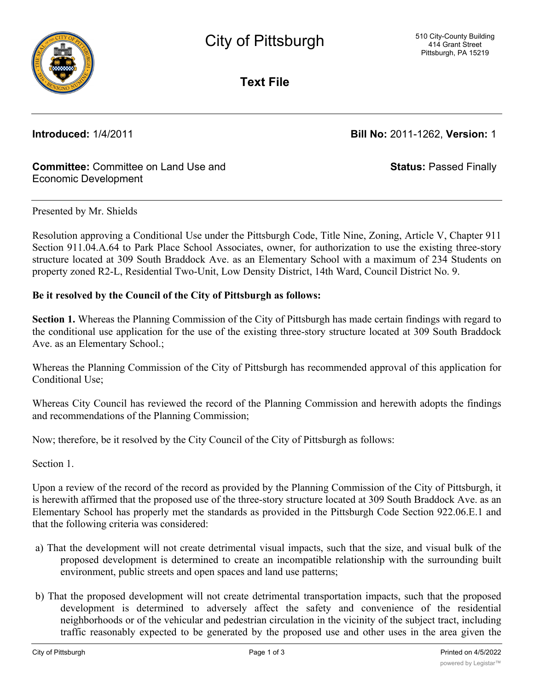

**Text File**

**Introduced:** 1/4/2011 **Bill No:** 2011-1262, **Version:** 1

### **Committee:** Committee on Land Use and Economic Development

**Status:** Passed Finally

### Presented by Mr. Shields

Resolution approving a Conditional Use under the Pittsburgh Code, Title Nine, Zoning, Article V, Chapter 911 Section 911.04.A.64 to Park Place School Associates, owner, for authorization to use the existing three-story structure located at 309 South Braddock Ave. as an Elementary School with a maximum of 234 Students on property zoned R2-L, Residential Two-Unit, Low Density District, 14th Ward, Council District No. 9.

### **Be it resolved by the Council of the City of Pittsburgh as follows:**

**Section 1.** Whereas the Planning Commission of the City of Pittsburgh has made certain findings with regard to the conditional use application for the use of the existing three-story structure located at 309 South Braddock Ave. as an Elementary School.;

Whereas the Planning Commission of the City of Pittsburgh has recommended approval of this application for Conditional Use;

Whereas City Council has reviewed the record of the Planning Commission and herewith adopts the findings and recommendations of the Planning Commission;

Now; therefore, be it resolved by the City Council of the City of Pittsburgh as follows:

Section 1.

Upon a review of the record of the record as provided by the Planning Commission of the City of Pittsburgh, it is herewith affirmed that the proposed use of the three-story structure located at 309 South Braddock Ave. as an Elementary School has properly met the standards as provided in the Pittsburgh Code Section 922.06.E.1 and that the following criteria was considered:

- a) That the development will not create detrimental visual impacts, such that the size, and visual bulk of the proposed development is determined to create an incompatible relationship with the surrounding built environment, public streets and open spaces and land use patterns;
- b) That the proposed development will not create detrimental transportation impacts, such that the proposed development is determined to adversely affect the safety and convenience of the residential neighborhoods or of the vehicular and pedestrian circulation in the vicinity of the subject tract, including traffic reasonably expected to be generated by the proposed use and other uses in the area given the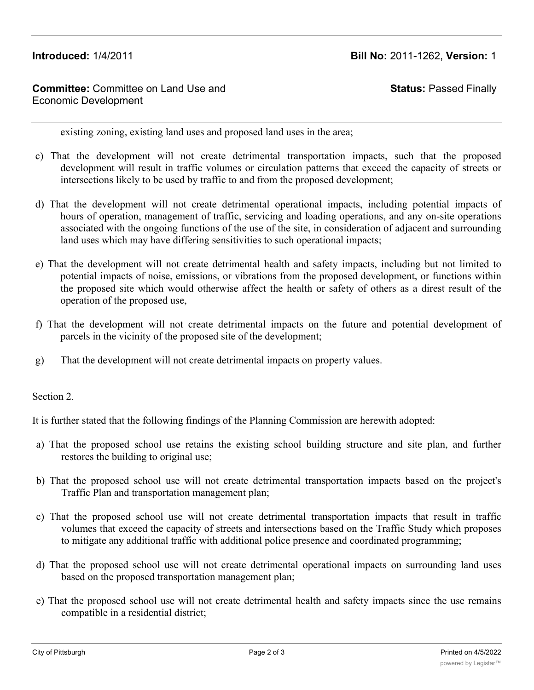# **Introduced:** 1/4/2011 **Bill No:** 2011-1262, **Version:** 1

# **Committee:** Committee on Land Use and Economic Development

**Status:** Passed Finally

existing zoning, existing land uses and proposed land uses in the area;

- c) That the development will not create detrimental transportation impacts, such that the proposed development will result in traffic volumes or circulation patterns that exceed the capacity of streets or intersections likely to be used by traffic to and from the proposed development;
- d) That the development will not create detrimental operational impacts, including potential impacts of hours of operation, management of traffic, servicing and loading operations, and any on-site operations associated with the ongoing functions of the use of the site, in consideration of adjacent and surrounding land uses which may have differing sensitivities to such operational impacts;
- e) That the development will not create detrimental health and safety impacts, including but not limited to potential impacts of noise, emissions, or vibrations from the proposed development, or functions within the proposed site which would otherwise affect the health or safety of others as a direst result of the operation of the proposed use,
- f) That the development will not create detrimental impacts on the future and potential development of parcels in the vicinity of the proposed site of the development;
- g) That the development will not create detrimental impacts on property values.

Section 2.

It is further stated that the following findings of the Planning Commission are herewith adopted:

- a) That the proposed school use retains the existing school building structure and site plan, and further restores the building to original use;
- b) That the proposed school use will not create detrimental transportation impacts based on the project's Traffic Plan and transportation management plan;
- c) That the proposed school use will not create detrimental transportation impacts that result in traffic volumes that exceed the capacity of streets and intersections based on the Traffic Study which proposes to mitigate any additional traffic with additional police presence and coordinated programming;
- d) That the proposed school use will not create detrimental operational impacts on surrounding land uses based on the proposed transportation management plan;
- e) That the proposed school use will not create detrimental health and safety impacts since the use remains compatible in a residential district;